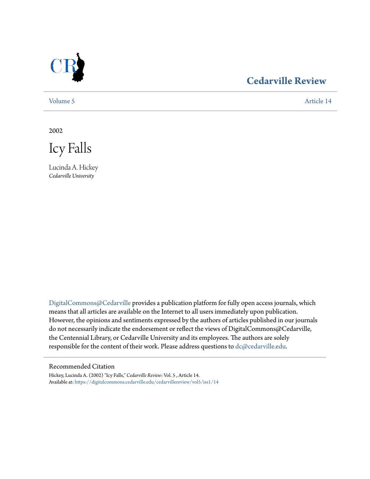

# **[Cedarville Review](https://digitalcommons.cedarville.edu/cedarvillereview?utm_source=digitalcommons.cedarville.edu%2Fcedarvillereview%2Fvol5%2Fiss1%2F14&utm_medium=PDF&utm_campaign=PDFCoverPages)**

[Volume 5](https://digitalcommons.cedarville.edu/cedarvillereview/vol5?utm_source=digitalcommons.cedarville.edu%2Fcedarvillereview%2Fvol5%2Fiss1%2F14&utm_medium=PDF&utm_campaign=PDFCoverPages) [Article 14](https://digitalcommons.cedarville.edu/cedarvillereview/vol5/iss1/14?utm_source=digitalcommons.cedarville.edu%2Fcedarvillereview%2Fvol5%2Fiss1%2F14&utm_medium=PDF&utm_campaign=PDFCoverPages)

2002

Icy Falls

Lucinda A. Hickey *Cedarville University*

[DigitalCommons@Cedarville](http://digitalcommons.cedarville.edu) provides a publication platform for fully open access journals, which means that all articles are available on the Internet to all users immediately upon publication. However, the opinions and sentiments expressed by the authors of articles published in our journals do not necessarily indicate the endorsement or reflect the views of DigitalCommons@Cedarville, the Centennial Library, or Cedarville University and its employees. The authors are solely responsible for the content of their work. Please address questions to [dc@cedarville.edu](mailto:dc@cedarville.edu).

#### Recommended Citation

Hickey, Lucinda A. (2002) "Icy Falls," *Cedarville Review*: Vol. 5 , Article 14. Available at: [https://digitalcommons.cedarville.edu/cedarvillereview/vol5/iss1/14](https://digitalcommons.cedarville.edu/cedarvillereview/vol5/iss1/14?utm_source=digitalcommons.cedarville.edu%2Fcedarvillereview%2Fvol5%2Fiss1%2F14&utm_medium=PDF&utm_campaign=PDFCoverPages)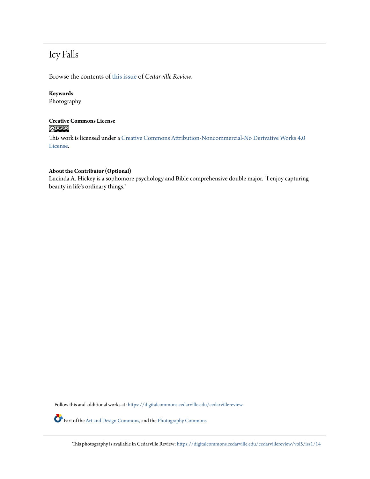# Icy Falls

Browse the contents of [this issue](https://digitalcommons.cedarville.edu/cedarvillereview/vol5/iss1) of *Cedarville Review*.

## **Keywords**

Photography

### **Creative Commons License**  $\bigcirc$   $\circ$

This work is licensed under a [Creative Commons Attribution-Noncommercial-No Derivative Works 4.0](http://creativecommons.org/licenses/by-nc-nd/4.0/) [License.](http://creativecommons.org/licenses/by-nc-nd/4.0/)

#### **About the Contributor (Optional)**

Lucinda A. Hickey is a sophomore psychology and Bible comprehensive double major. "I enjoy capturing beauty in life's ordinary things."

Follow this and additional works at: [https://digitalcommons.cedarville.edu/cedarvillereview](https://digitalcommons.cedarville.edu/cedarvillereview?utm_source=digitalcommons.cedarville.edu%2Fcedarvillereview%2Fvol5%2Fiss1%2F14&utm_medium=PDF&utm_campaign=PDFCoverPages)

Part of the [Art and Design Commons,](http://network.bepress.com/hgg/discipline/1049?utm_source=digitalcommons.cedarville.edu%2Fcedarvillereview%2Fvol5%2Fiss1%2F14&utm_medium=PDF&utm_campaign=PDFCoverPages) and the [Photography Commons](http://network.bepress.com/hgg/discipline/1142?utm_source=digitalcommons.cedarville.edu%2Fcedarvillereview%2Fvol5%2Fiss1%2F14&utm_medium=PDF&utm_campaign=PDFCoverPages)